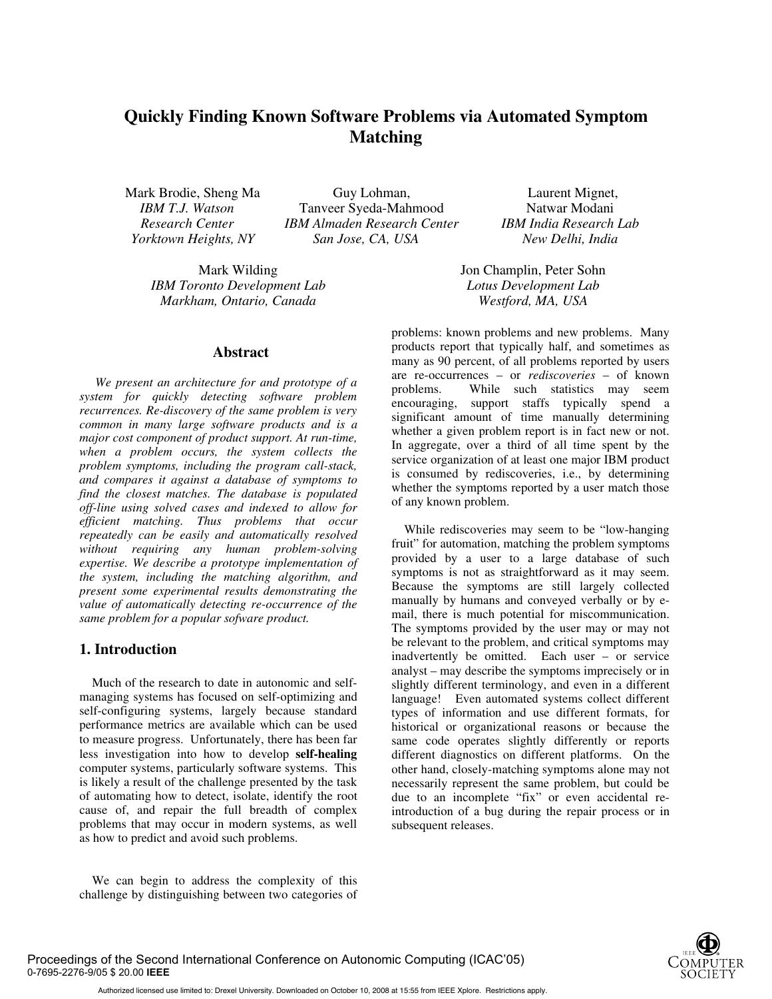# **Quickly Finding Known Software Problems via Automated Symptom Matching**

Mark Brodie, Sheng Ma *IBM T.J. Watson Research Center Yorktown Heights, NY*

Guy Lohman, Tanveer Syeda-Mahmood *IBM Almaden Research Center San Jose, CA, USA* 

Mark Wilding *IBM Toronto Development Lab Markham, Ontario, Canada* 

### **Abstract**

 *We present an architecture for and prototype of a system for quickly detecting software problem recurrences. Re-discovery of the same problem is very common in many large software products and is a major cost component of product support. At run-time, when a problem occurs, the system collects the problem symptoms, including the program call-stack, and compares it against a database of symptoms to find the closest matches. The database is populated off-line using solved cases and indexed to allow for efficient matching. Thus problems that occur repeatedly can be easily and automatically resolved without requiring any human problem-solving expertise. We describe a prototype implementation of the system, including the matching algorithm, and present some experimental results demonstrating the value of automatically detecting re-occurrence of the same problem for a popular sofware product.* 

#### **1. Introduction**

 Much of the research to date in autonomic and selfmanaging systems has focused on self-optimizing and self-configuring systems, largely because standard performance metrics are available which can be used to measure progress. Unfortunately, there has been far less investigation into how to develop **self-healing** computer systems, particularly software systems. This is likely a result of the challenge presented by the task of automating how to detect, isolate, identify the root cause of, and repair the full breadth of complex problems that may occur in modern systems, as well as how to predict and avoid such problems.

 We can begin to address the complexity of this challenge by distinguishing between two categories of

Laurent Mignet, Natwar Modani *IBM India Research Lab New Delhi, India* 

Jon Champlin, Peter Sohn *Lotus Development Lab Westford, MA, USA* 

problems: known problems and new problems. Many products report that typically half, and sometimes as many as 90 percent, of all problems reported by users are re-occurrences – or *rediscoveries* – of known problems. While such statistics may seem encouraging, support staffs typically spend a significant amount of time manually determining whether a given problem report is in fact new or not. In aggregate, over a third of all time spent by the service organization of at least one major IBM product is consumed by rediscoveries, i.e., by determining whether the symptoms reported by a user match those of any known problem.

 While rediscoveries may seem to be "low-hanging fruit" for automation, matching the problem symptoms provided by a user to a large database of such symptoms is not as straightforward as it may seem. Because the symptoms are still largely collected manually by humans and conveyed verbally or by email, there is much potential for miscommunication. The symptoms provided by the user may or may not be relevant to the problem, and critical symptoms may inadvertently be omitted. Each user – or service analyst – may describe the symptoms imprecisely or in slightly different terminology, and even in a different language! Even automated systems collect different types of information and use different formats, for historical or organizational reasons or because the same code operates slightly differently or reports different diagnostics on different platforms. On the other hand, closely-matching symptoms alone may not necessarily represent the same problem, but could be due to an incomplete "fix" or even accidental reintroduction of a bug during the repair process or in subsequent releases.

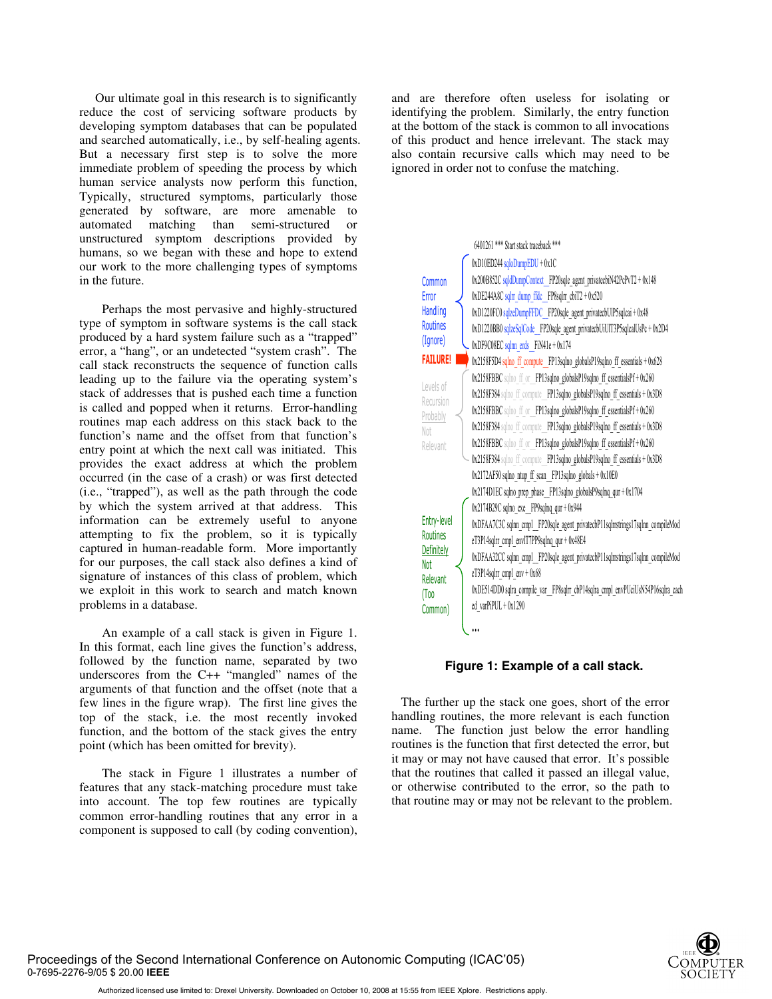Our ultimate goal in this research is to significantly reduce the cost of servicing software products by developing symptom databases that can be populated and searched automatically, i.e., by self-healing agents. But a necessary first step is to solve the more immediate problem of speeding the process by which human service analysts now perform this function, Typically, structured symptoms, particularly those generated by software, are more amenable to automated matching than semi-structured or unstructured symptom descriptions provided by humans, so we began with these and hope to extend our work to the more challenging types of symptoms in the future.

Perhaps the most pervasive and highly-structured type of symptom in software systems is the call stack produced by a hard system failure such as a "trapped" error, a "hang", or an undetected "system crash". The call stack reconstructs the sequence of function calls leading up to the failure via the operating system's stack of addresses that is pushed each time a function is called and popped when it returns. Error-handling routines map each address on this stack back to the function's name and the offset from that function's entry point at which the next call was initiated. This provides the exact address at which the problem occurred (in the case of a crash) or was first detected (i.e., "trapped"), as well as the path through the code by which the system arrived at that address. This information can be extremely useful to anyone attempting to fix the problem, so it is typically captured in human-readable form. More importantly for our purposes, the call stack also defines a kind of signature of instances of this class of problem, which we exploit in this work to search and match known problems in a database.

An example of a call stack is given in Figure 1. In this format, each line gives the function's address, followed by the function name, separated by two underscores from the C++ "mangled" names of the arguments of that function and the offset (note that a few lines in the figure wrap). The first line gives the top of the stack, i.e. the most recently invoked function, and the bottom of the stack gives the entry point (which has been omitted for brevity).

The stack in Figure 1 illustrates a number of features that any stack-matching procedure must take into account. The top few routines are typically common error-handling routines that any error in a component is supposed to call (by coding convention), and are therefore often useless for isolating or identifying the problem. Similarly, the entry function at the bottom of the stack is common to all invocations of this product and hence irrelevant. The stack may also contain recursive calls which may need to be ignored in order not to confuse the matching.

|                                                                  |  | 6401261 *** Start stack traceback ***                                           |
|------------------------------------------------------------------|--|---------------------------------------------------------------------------------|
|                                                                  |  | $0xD10ED244$ sqloDumpEDU + $0x1C$                                               |
| Common<br>Error<br>Handling                                      |  | 0x200B852C sqldDumpContext FP20sqle agent privatecbiN42PcPvT2 + 0x148           |
|                                                                  |  | $0xDE244A8C$ sqlrr dump ffdc FP8sqlrr cbiT2 + 0x520                             |
|                                                                  |  | 0xD1220FC0 sqlzeDumpFFDC FP20sqle_agent_privatecbUlP5sqlcai + 0x48              |
| <b>Routines</b>                                                  |  | 0xD1220BB0 sqlzeSqlCode FP20sqle agent privatecbUiUIT3P5sqlcalUsPc + 0x2D4      |
| (Ignore)                                                         |  | $0xDF9C08EC$ sqlnn erds FiN41e + $0x174$                                        |
| <b>FAILURE!</b>                                                  |  | 0x2158F5D4 sqlno_ff_compute_FP13sqlno_globalsP19sqlno_ff_essentials + 0x628     |
| Levels of                                                        |  | 0x2158FBBC sqlno ff or FP13sqlno globalsP19sqlno ff essentialsPf+0x260          |
| Recursion<br>Probably<br>Not<br>Relevant                         |  | 0x2158F384 sqlno ff compute FP13sqlno globalsP19sqlno ff essentials + 0x3D8     |
|                                                                  |  | 0x2158FBBC sqlno ff or FP13sqlno globalsP19sqlno ff essentialsPf+0x260          |
|                                                                  |  | 0x2158F384 sqlno ff compute FP13sqlno globalsP19sqlno ff essentials + 0x3D8     |
|                                                                  |  | 0x2158FBBC sqlno ff or FP13sqlno globalsP19sqlno ff essentialsPf+0x260          |
|                                                                  |  | 0x2158F384 sqlno ff compute FP13sqlno globalsP19sqlno ff essentials + 0x3D8     |
|                                                                  |  | 0x2172AF50 sqlno ntup ff scan FP13sqlno globals + 0x10E0                        |
| Entry-level<br>Routines<br>Definitely<br>Not<br>Relevant<br>(Too |  | 0x2174D1EC sqlno prep phase FP13sqlno globalsP9sqlnq qur + 0x1704               |
|                                                                  |  | $0x2174B29C$ sqlno exe FP9sqlnq qur + $0x944$                                   |
|                                                                  |  | 0xDFAA7C3C sqlnn cmpl FP20sqle agent privatecbP11sqlrrstrings17sqlnn compileMod |
|                                                                  |  | eT3P14sqlrr cmpl envlT7PP9sqlnq qur + 0x48E4                                    |
|                                                                  |  | 0xDFAA32CC sqlnn cmpl FP20sqle agent privatecbP11sqlrrstrings17sqlnn compileMod |
|                                                                  |  | eT3P14sqlrr cmpl env + 0x68                                                     |
|                                                                  |  | 0xDE514DD0 sqlra compile var FP8sqlrr cbP14sqlra cmpl envPUciUsN54P16sqlra cach |
| Common)                                                          |  | ed var $PiPUL + 0x1290$                                                         |
|                                                                  |  |                                                                                 |

#### **Figure 1: Example of a call stack.**

 The further up the stack one goes, short of the error handling routines, the more relevant is each function name. The function just below the error handling routines is the function that first detected the error, but it may or may not have caused that error. It's possible that the routines that called it passed an illegal value, or otherwise contributed to the error, so the path to that routine may or may not be relevant to the problem.

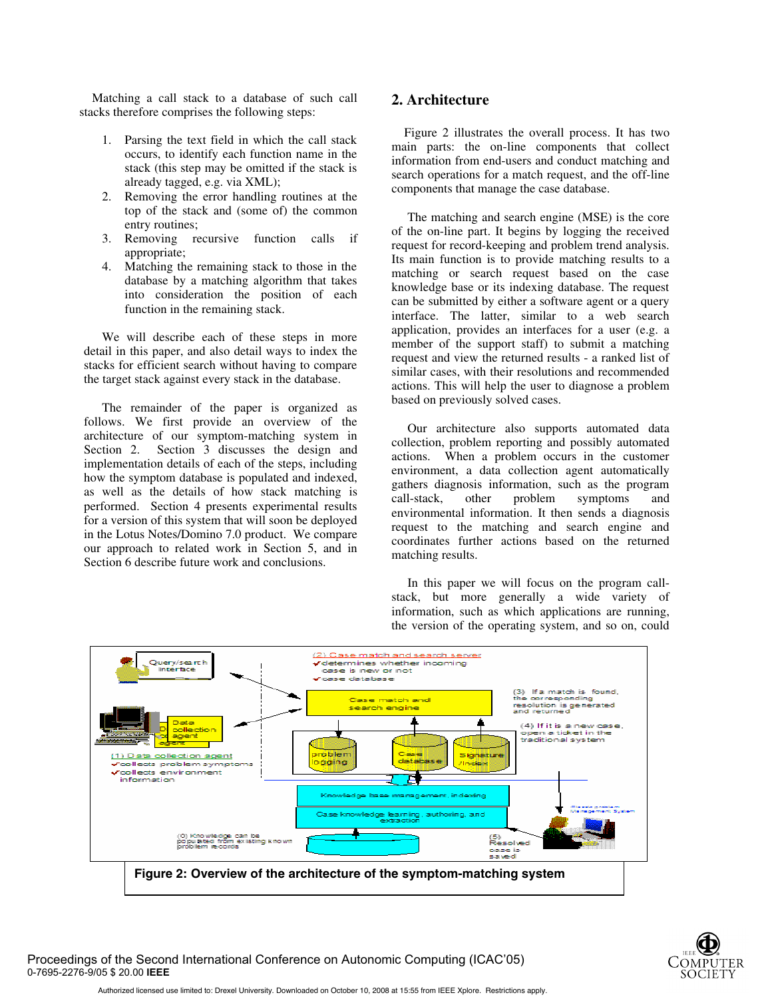Matching a call stack to a database of such call stacks therefore comprises the following steps:

- 1. Parsing the text field in which the call stack occurs, to identify each function name in the stack (this step may be omitted if the stack is already tagged, e.g. via XML);
- 2. Removing the error handling routines at the top of the stack and (some of) the common entry routines;
- 3. Removing recursive function calls if appropriate;
- 4. Matching the remaining stack to those in the database by a matching algorithm that takes into consideration the position of each function in the remaining stack.

We will describe each of these steps in more detail in this paper, and also detail ways to index the stacks for efficient search without having to compare the target stack against every stack in the database.

The remainder of the paper is organized as follows. We first provide an overview of the architecture of our symptom-matching system in Section 2. Section 3 discusses the design and implementation details of each of the steps, including how the symptom database is populated and indexed, as well as the details of how stack matching is performed. Section 4 presents experimental results for a version of this system that will soon be deployed in the Lotus Notes/Domino 7.0 product. We compare our approach to related work in Section 5, and in Section 6 describe future work and conclusions.

## **2. Architecture**

 Figure 2 illustrates the overall process. It has two main parts: the on-line components that collect information from end-users and conduct matching and search operations for a match request, and the off-line components that manage the case database.

 The matching and search engine (MSE) is the core of the on-line part. It begins by logging the received request for record-keeping and problem trend analysis. Its main function is to provide matching results to a matching or search request based on the case knowledge base or its indexing database. The request can be submitted by either a software agent or a query interface. The latter, similar to a web search application, provides an interfaces for a user (e.g. a member of the support staff) to submit a matching request and view the returned results - a ranked list of similar cases, with their resolutions and recommended actions. This will help the user to diagnose a problem based on previously solved cases.

 Our architecture also supports automated data collection, problem reporting and possibly automated actions. When a problem occurs in the customer environment, a data collection agent automatically gathers diagnosis information, such as the program call-stack, other problem symptoms and environmental information. It then sends a diagnosis request to the matching and search engine and coordinates further actions based on the returned matching results.

 In this paper we will focus on the program callstack, but more generally a wide variety of information, such as which applications are running, the version of the operating system, and so on, could



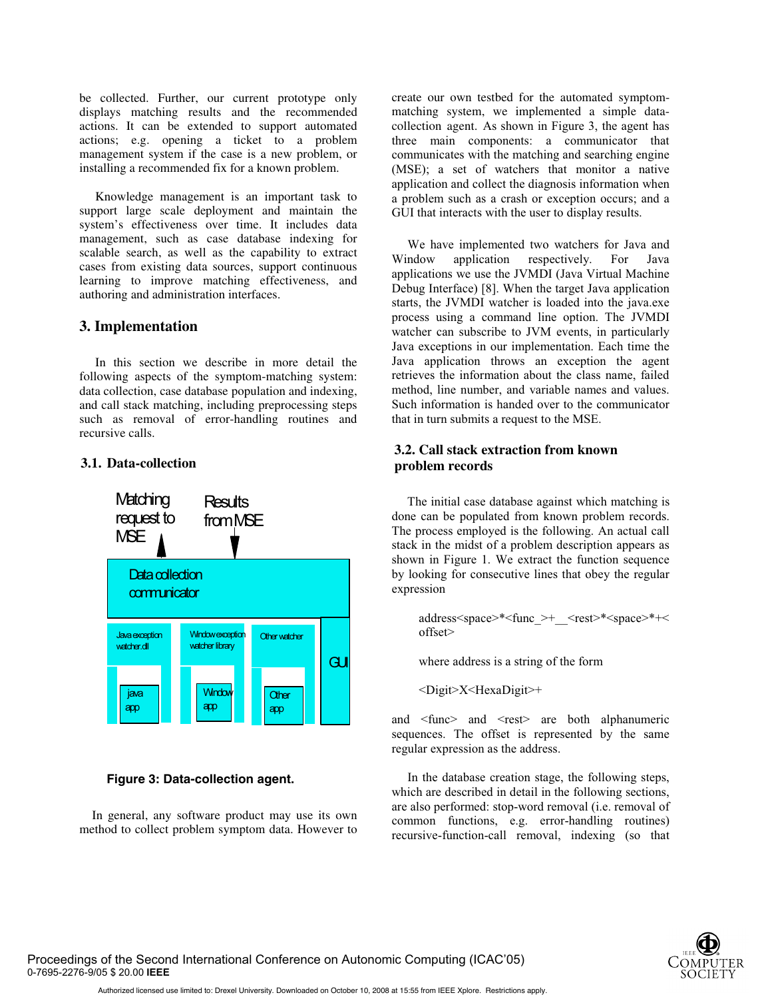be collected. Further, our current prototype only displays matching results and the recommended actions. It can be extended to support automated actions; e.g. opening a ticket to a problem management system if the case is a new problem, or installing a recommended fix for a known problem.

 Knowledge management is an important task to support large scale deployment and maintain the system's effectiveness over time. It includes data management, such as case database indexing for scalable search, as well as the capability to extract cases from existing data sources, support continuous learning to improve matching effectiveness, and authoring and administration interfaces.

### **3. Implementation**

 In this section we describe in more detail the following aspects of the symptom-matching system: data collection, case database population and indexing, and call stack matching, including preprocessing steps such as removal of error-handling routines and recursive calls.

### **3.1. Data-collection**



#### **Figure 3: Data-collection agent.**

 In general, any software product may use its own method to collect problem symptom data. However to create our own testbed for the automated symptommatching system, we implemented a simple datacollection agent. As shown in Figure 3, the agent has three main components: a communicator that communicates with the matching and searching engine (MSE); a set of watchers that monitor a native application and collect the diagnosis information when a problem such as a crash or exception occurs; and a GUI that interacts with the user to display results.

 We have implemented two watchers for Java and Window application respectively. For Java applications we use the JVMDI (Java Virtual Machine Debug Interface) [8]. When the target Java application starts, the JVMDI watcher is loaded into the java.exe process using a command line option. The JVMDI watcher can subscribe to JVM events, in particularly Java exceptions in our implementation. Each time the Java application throws an exception the agent retrieves the information about the class name, failed method, line number, and variable names and values. Such information is handed over to the communicator that in turn submits a request to the MSE.

# **3.2. Call stack extraction from known problem records**

 The initial case database against which matching is done can be populated from known problem records. The process employed is the following. An actual call stack in the midst of a problem description appears as shown in Figure 1. We extract the function sequence by looking for consecutive lines that obey the regular expression

```
address<space>*<func_>+__<rest>*<space>*+<
offset>
```
where address is a string of the form

<Digit>X<HexaDigit>+

and <func> and <rest> are both alphanumeric sequences. The offset is represented by the same regular expression as the address.

 In the database creation stage, the following steps, which are described in detail in the following sections, are also performed: stop-word removal (i.e. removal of common functions, e.g. error-handling routines) recursive-function-call removal, indexing (so that

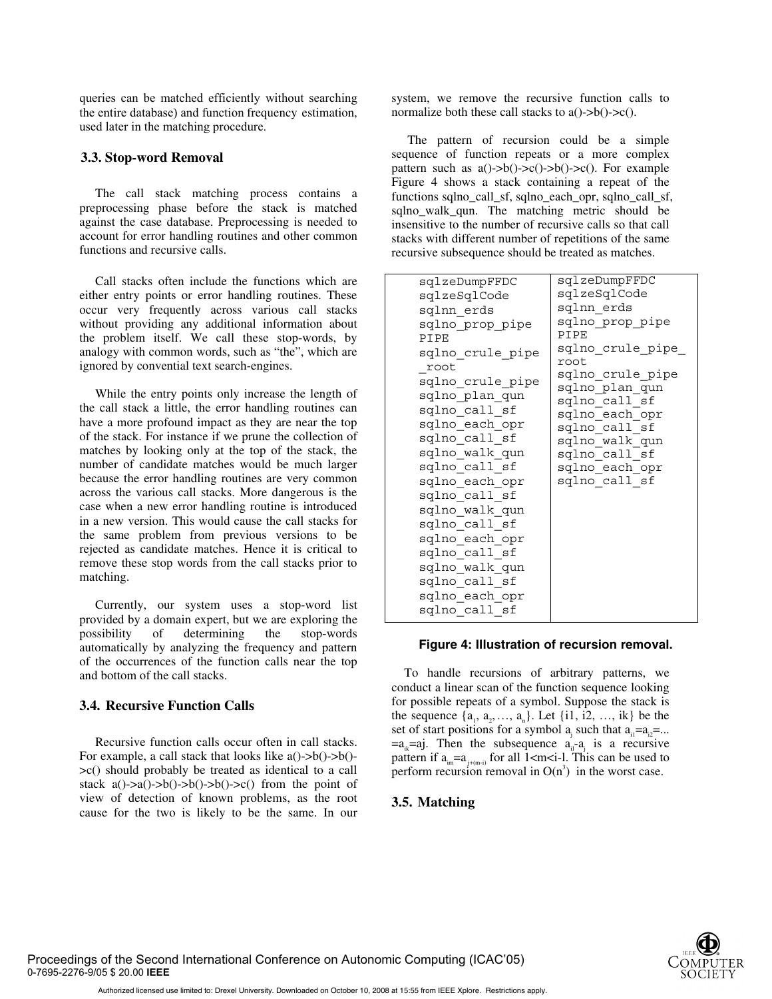queries can be matched efficiently without searching the entire database) and function frequency estimation, used later in the matching procedure.

#### **3.3. Stop-word Removal**

 The call stack matching process contains a preprocessing phase before the stack is matched against the case database. Preprocessing is needed to account for error handling routines and other common functions and recursive calls.

 Call stacks often include the functions which are either entry points or error handling routines. These occur very frequently across various call stacks without providing any additional information about the problem itself. We call these stop-words, by analogy with common words, such as "the", which are ignored by convential text search-engines.

 While the entry points only increase the length of the call stack a little, the error handling routines can have a more profound impact as they are near the top of the stack. For instance if we prune the collection of matches by looking only at the top of the stack, the number of candidate matches would be much larger because the error handling routines are very common across the various call stacks. More dangerous is the case when a new error handling routine is introduced in a new version. This would cause the call stacks for the same problem from previous versions to be rejected as candidate matches. Hence it is critical to remove these stop words from the call stacks prior to matching.

 Currently, our system uses a stop-word list provided by a domain expert, but we are exploring the possibility of determining the stop-words automatically by analyzing the frequency and pattern of the occurrences of the function calls near the top and bottom of the call stacks.

#### **3.4. Recursive Function Calls**

 Recursive function calls occur often in call stacks. For example, a call stack that looks like  $a$ ()- $>b$ ()- $>b$ ()->c() should probably be treated as identical to a call stack  $a()$ ->a()->b()->b()->b()->c() from the point of view of detection of known problems, as the root cause for the two is likely to be the same. In our system, we remove the recursive function calls to normalize both these call stacks to  $a()$ ->b $()$ ->c $()$ .

 The pattern of recursion could be a simple sequence of function repeats or a more complex pattern such as  $a() \rightarrow b() \rightarrow c() \rightarrow b() \rightarrow c()$ . For example Figure 4 shows a stack containing a repeat of the functions sqlno\_call\_sf, sqlno\_each\_opr, sqlno\_call\_sf, sqlno walk qun. The matching metric should be insensitive to the number of recursive calls so that call stacks with different number of repetitions of the same recursive subsequence should be treated as matches.

#### **Figure 4: Illustration of recursion removal.**

 To handle recursions of arbitrary patterns, we conduct a linear scan of the function sequence looking for possible repeats of a symbol. Suppose the stack is the sequence  $\{a_1, a_2, ..., a_n\}$ . Let  $\{i1, i2, ..., ik\}$  be the set of start positions for a symbol  $a_j$  such that  $a_{i1}=a_{i2}=...$  $=a_{ik}=ai$ . Then the subsequence  $a_{il}-a_{jl}$  is a recursive pattern if  $a_{im}=a_{i+m-1}$  for all 1<m <i-1. This can be used to perform recursion removal in  $O(n^3)$  in the worst case.

#### **3.5. Matching**

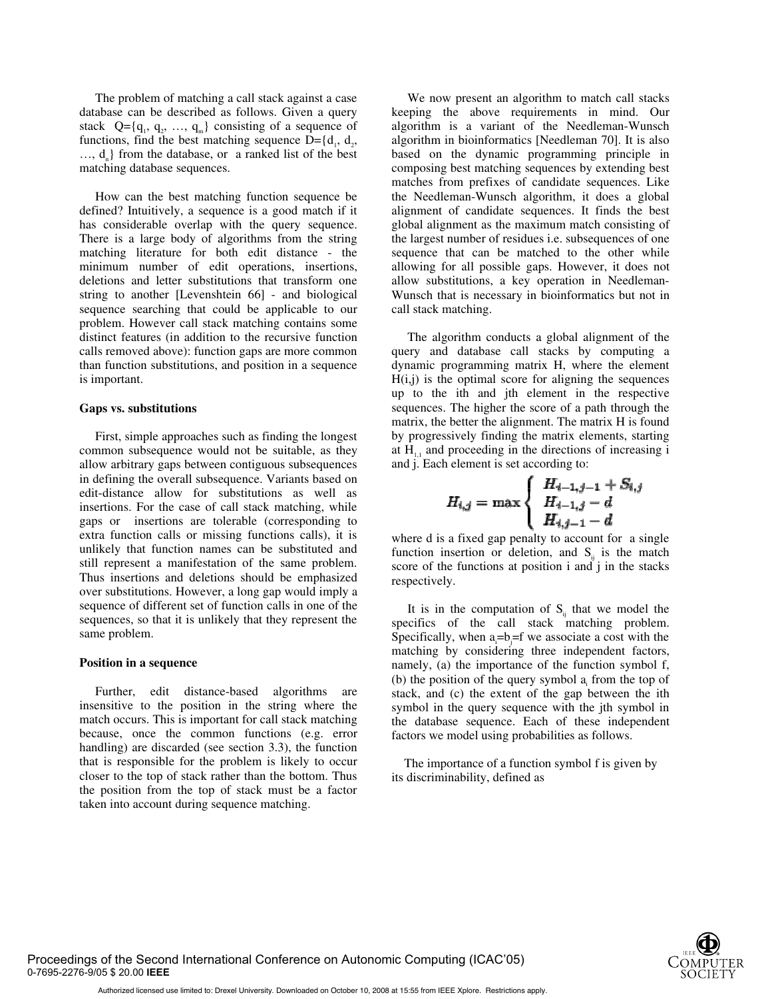The problem of matching a call stack against a case database can be described as follows. Given a query stack  $Q = \{q_1, q_2, ..., q_m\}$  consisting of a sequence of functions, find the best matching sequence  $D = \{d_1, d_2, d_3, d_4, d_5, d_6, d_7, d_8, d_9, d_9, d_9, d_{10}, d_{11}, d_{12}, d_{13}, d_{14}, d_{15}, d_{16}, d_{17}, d_{18}, d_{19}\}$  $..., d_n$ } from the database, or a ranked list of the best matching database sequences.

 How can the best matching function sequence be defined? Intuitively, a sequence is a good match if it has considerable overlap with the query sequence. There is a large body of algorithms from the string matching literature for both edit distance - the minimum number of edit operations, insertions, deletions and letter substitutions that transform one string to another [Levenshtein 66] - and biological sequence searching that could be applicable to our problem. However call stack matching contains some distinct features (in addition to the recursive function calls removed above): function gaps are more common than function substitutions, and position in a sequence is important.

#### **Gaps vs. substitutions**

 First, simple approaches such as finding the longest common subsequence would not be suitable, as they allow arbitrary gaps between contiguous subsequences in defining the overall subsequence. Variants based on edit-distance allow for substitutions as well as insertions. For the case of call stack matching, while gaps or insertions are tolerable (corresponding to extra function calls or missing functions calls), it is unlikely that function names can be substituted and still represent a manifestation of the same problem. Thus insertions and deletions should be emphasized over substitutions. However, a long gap would imply a sequence of different set of function calls in one of the sequences, so that it is unlikely that they represent the same problem.

#### **Position in a sequence**

 Further, edit distance-based algorithms are insensitive to the position in the string where the match occurs. This is important for call stack matching because, once the common functions (e.g. error handling) are discarded (see section 3.3), the function that is responsible for the problem is likely to occur closer to the top of stack rather than the bottom. Thus the position from the top of stack must be a factor taken into account during sequence matching.

 We now present an algorithm to match call stacks keeping the above requirements in mind. Our algorithm is a variant of the Needleman-Wunsch algorithm in bioinformatics [Needleman 70]. It is also based on the dynamic programming principle in composing best matching sequences by extending best matches from prefixes of candidate sequences. Like the Needleman-Wunsch algorithm, it does a global alignment of candidate sequences. It finds the best global alignment as the maximum match consisting of the largest number of residues i.e. subsequences of one sequence that can be matched to the other while allowing for all possible gaps. However, it does not allow substitutions, a key operation in Needleman-Wunsch that is necessary in bioinformatics but not in call stack matching.

 The algorithm conducts a global alignment of the query and database call stacks by computing a dynamic programming matrix H, where the element  $H(i,j)$  is the optimal score for aligning the sequences up to the ith and jth element in the respective sequences. The higher the score of a path through the matrix, the better the alignment. The matrix H is found by progressively finding the matrix elements, starting at  $H_{11}$  and proceeding in the directions of increasing i and j. Each element is set according to:

$$
H_{i,j} = \max \left\{ \begin{array}{l} H_{i-1,j-1} + S_{i,j} \\ H_{i-1,j} - d \\ H_{i,j-1} - d \end{array} \right.
$$

where d is a fixed gap penalty to account for a single function insertion or deletion, and  $S_{ii}$  is the match score of the functions at position i and j in the stacks respectively.

It is in the computation of  $S<sub>ii</sub>$  that we model the specifics of the call stack matching problem. Specifically, when  $a_i=b_j=f$  we associate a cost with the matching by considering three independent factors, namely, (a) the importance of the function symbol f, (b) the position of the query symbol  $a_i$  from the top of stack, and (c) the extent of the gap between the ith symbol in the query sequence with the jth symbol in the database sequence. Each of these independent factors we model using probabilities as follows.

 The importance of a function symbol f is given by its discriminability, defined as

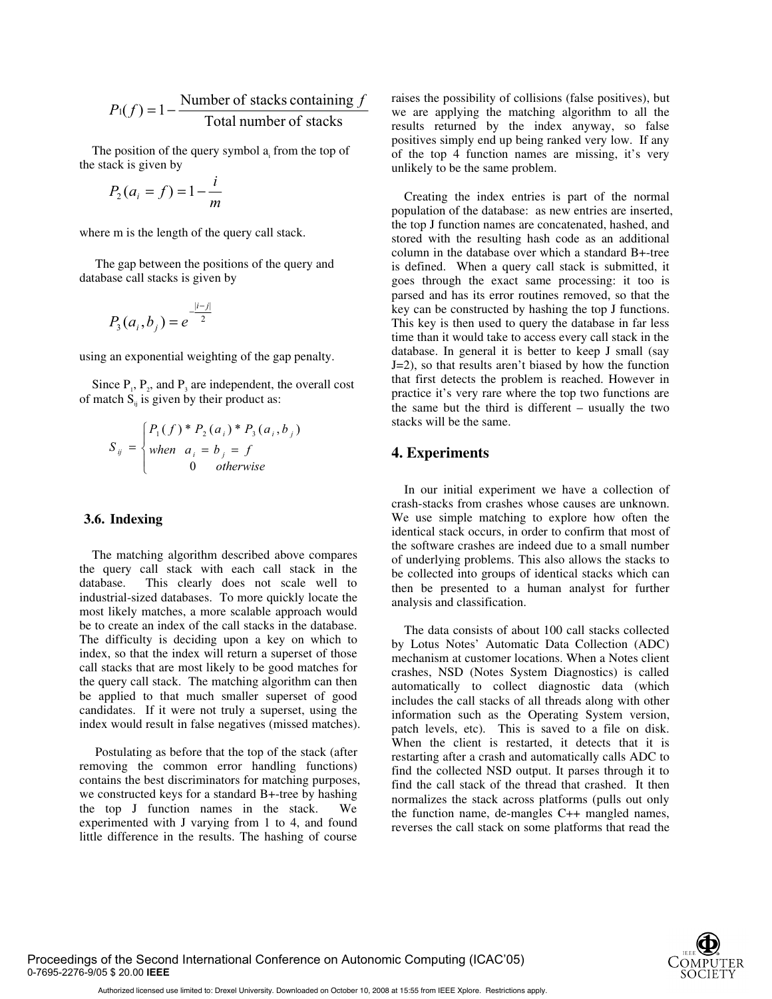$$
P_1(f) = 1 - \frac{\text{Number of stacks containing } f}{\text{Total number of stacks}}
$$

The position of the query symbol  $a_i$  from the top of the stack is given by

$$
P_2(a_i = f) = 1 - \frac{i}{m}
$$

where m is the length of the query call stack.

 The gap between the positions of the query and database call stacks is given by

$$
P_3(a_i, b_j) = e^{-\frac{|i-j|}{2}}
$$

using an exponential weighting of the gap penalty.

Since  $P_1$ ,  $P_2$ , and  $P_3$  are independent, the overall cost of match  $S_{ii}$  is given by their product as:

$$
S_{ij} = \begin{cases} P_1(f) * P_2(a_i) * P_3(a_i, b_j) \\ \text{when } a_i = b_j = f \\ 0 \quad \text{otherwise} \end{cases}
$$

#### **3.6. Indexing**

 The matching algorithm described above compares the query call stack with each call stack in the database. This clearly does not scale well to industrial-sized databases. To more quickly locate the most likely matches, a more scalable approach would be to create an index of the call stacks in the database. The difficulty is deciding upon a key on which to index, so that the index will return a superset of those call stacks that are most likely to be good matches for the query call stack. The matching algorithm can then be applied to that much smaller superset of good candidates. If it were not truly a superset, using the index would result in false negatives (missed matches).

 Postulating as before that the top of the stack (after removing the common error handling functions) contains the best discriminators for matching purposes, we constructed keys for a standard B+-tree by hashing the top J function names in the stack. We experimented with J varying from 1 to 4, and found little difference in the results. The hashing of course

raises the possibility of collisions (false positives), but we are applying the matching algorithm to all the results returned by the index anyway, so false positives simply end up being ranked very low. If any of the top 4 function names are missing, it's very unlikely to be the same problem.

 Creating the index entries is part of the normal population of the database: as new entries are inserted, the top J function names are concatenated, hashed, and stored with the resulting hash code as an additional column in the database over which a standard B+-tree is defined. When a query call stack is submitted, it goes through the exact same processing: it too is parsed and has its error routines removed, so that the key can be constructed by hashing the top J functions. This key is then used to query the database in far less time than it would take to access every call stack in the database. In general it is better to keep J small (say J=2), so that results aren't biased by how the function that first detects the problem is reached. However in practice it's very rare where the top two functions are the same but the third is different – usually the two stacks will be the same.

### **4. Experiments**

 In our initial experiment we have a collection of crash-stacks from crashes whose causes are unknown. We use simple matching to explore how often the identical stack occurs, in order to confirm that most of the software crashes are indeed due to a small number of underlying problems. This also allows the stacks to be collected into groups of identical stacks which can then be presented to a human analyst for further analysis and classification.

 The data consists of about 100 call stacks collected by Lotus Notes' Automatic Data Collection (ADC) mechanism at customer locations. When a Notes client crashes, NSD (Notes System Diagnostics) is called automatically to collect diagnostic data (which includes the call stacks of all threads along with other information such as the Operating System version, patch levels, etc). This is saved to a file on disk. When the client is restarted, it detects that it is restarting after a crash and automatically calls ADC to find the collected NSD output. It parses through it to find the call stack of the thread that crashed. It then normalizes the stack across platforms (pulls out only the function name, de-mangles C++ mangled names, reverses the call stack on some platforms that read the

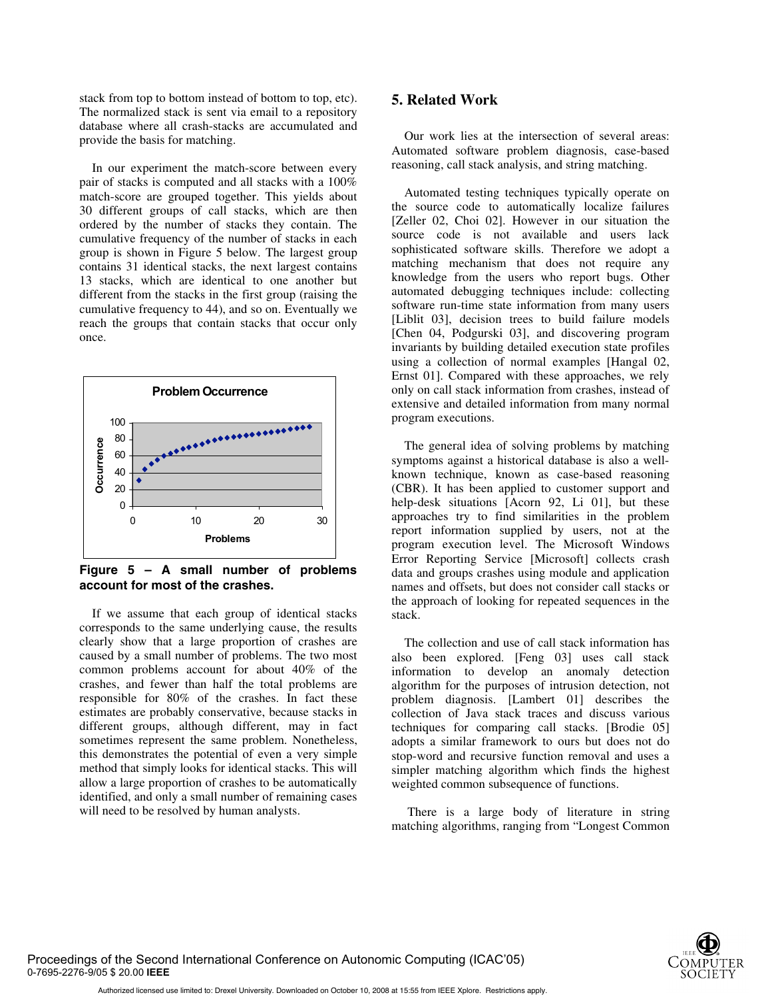stack from top to bottom instead of bottom to top, etc). The normalized stack is sent via email to a repository database where all crash-stacks are accumulated and provide the basis for matching.

 In our experiment the match-score between every pair of stacks is computed and all stacks with a 100% match-score are grouped together. This yields about 30 different groups of call stacks, which are then ordered by the number of stacks they contain. The cumulative frequency of the number of stacks in each group is shown in Figure 5 below. The largest group contains 31 identical stacks, the next largest contains 13 stacks, which are identical to one another but different from the stacks in the first group (raising the cumulative frequency to 44), and so on. Eventually we reach the groups that contain stacks that occur only once.



**Figure 5 – A small number of problems account for most of the crashes.** 

 If we assume that each group of identical stacks corresponds to the same underlying cause, the results clearly show that a large proportion of crashes are caused by a small number of problems. The two most common problems account for about 40% of the crashes, and fewer than half the total problems are responsible for 80% of the crashes. In fact these estimates are probably conservative, because stacks in different groups, although different, may in fact sometimes represent the same problem. Nonetheless, this demonstrates the potential of even a very simple method that simply looks for identical stacks. This will allow a large proportion of crashes to be automatically identified, and only a small number of remaining cases will need to be resolved by human analysts.

### **5. Related Work**

 Our work lies at the intersection of several areas: Automated software problem diagnosis, case-based reasoning, call stack analysis, and string matching.

 Automated testing techniques typically operate on the source code to automatically localize failures [Zeller 02, Choi 02]. However in our situation the source code is not available and users lack sophisticated software skills. Therefore we adopt a matching mechanism that does not require any knowledge from the users who report bugs. Other automated debugging techniques include: collecting software run-time state information from many users [Liblit 03], decision trees to build failure models [Chen 04, Podgurski 03], and discovering program invariants by building detailed execution state profiles using a collection of normal examples [Hangal 02, Ernst 01]. Compared with these approaches, we rely only on call stack information from crashes, instead of extensive and detailed information from many normal program executions.

 The general idea of solving problems by matching symptoms against a historical database is also a wellknown technique, known as case-based reasoning (CBR). It has been applied to customer support and help-desk situations [Acorn 92, Li 01], but these approaches try to find similarities in the problem report information supplied by users, not at the program execution level. The Microsoft Windows Error Reporting Service [Microsoft] collects crash data and groups crashes using module and application names and offsets, but does not consider call stacks or the approach of looking for repeated sequences in the stack.

 The collection and use of call stack information has also been explored. [Feng 03] uses call stack information to develop an anomaly detection algorithm for the purposes of intrusion detection, not problem diagnosis. [Lambert 01] describes the collection of Java stack traces and discuss various techniques for comparing call stacks. [Brodie 05] adopts a similar framework to ours but does not do stop-word and recursive function removal and uses a simpler matching algorithm which finds the highest weighted common subsequence of functions.

 There is a large body of literature in string matching algorithms, ranging from "Longest Common

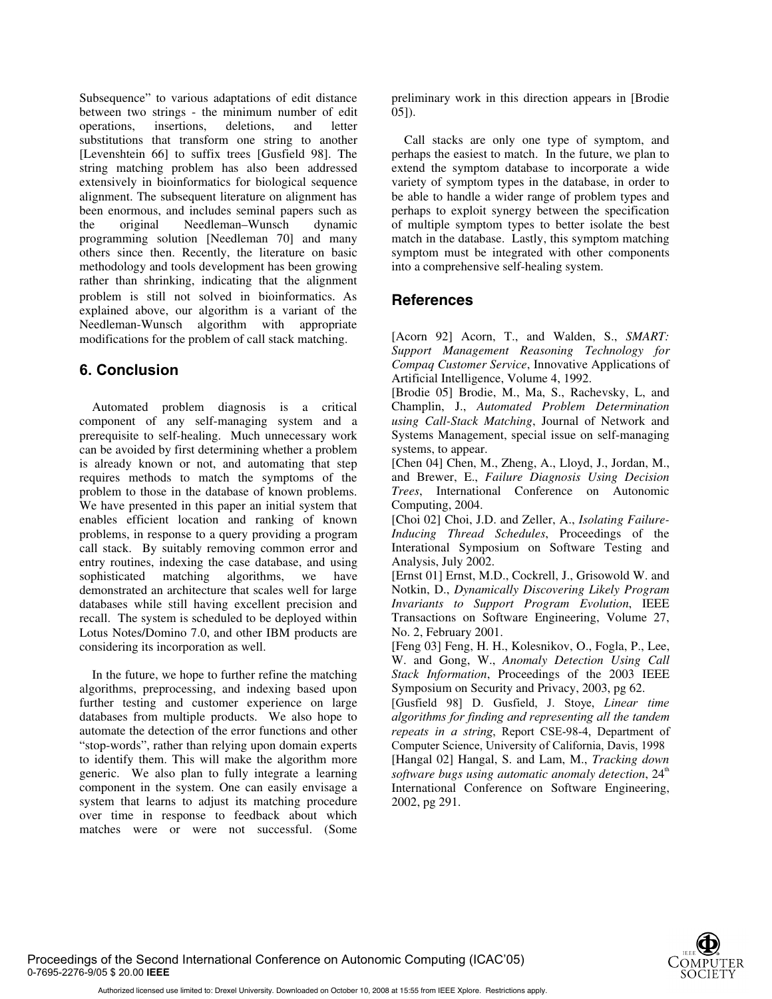Subsequence" to various adaptations of edit distance between two strings - the minimum number of edit operations, insertions, deletions, and letter substitutions that transform one string to another [Levenshtein 66] to suffix trees [Gusfield 98]. The string matching problem has also been addressed extensively in bioinformatics for biological sequence alignment. The subsequent literature on alignment has been enormous, and includes seminal papers such as the original Needleman–Wunsch dynamic programming solution [Needleman 70] and many others since then. Recently, the literature on basic methodology and tools development has been growing rather than shrinking, indicating that the alignment problem is still not solved in bioinformatics. As explained above, our algorithm is a variant of the Needleman-Wunsch algorithm with appropriate modifications for the problem of call stack matching.

# **6. Conclusion**

 Automated problem diagnosis is a critical component of any self-managing system and a prerequisite to self-healing. Much unnecessary work can be avoided by first determining whether a problem is already known or not, and automating that step requires methods to match the symptoms of the problem to those in the database of known problems. We have presented in this paper an initial system that enables efficient location and ranking of known problems, in response to a query providing a program call stack. By suitably removing common error and entry routines, indexing the case database, and using sophisticated matching algorithms, we have demonstrated an architecture that scales well for large databases while still having excellent precision and recall. The system is scheduled to be deployed within Lotus Notes/Domino 7.0, and other IBM products are considering its incorporation as well.

 In the future, we hope to further refine the matching algorithms, preprocessing, and indexing based upon further testing and customer experience on large databases from multiple products. We also hope to automate the detection of the error functions and other "stop-words", rather than relying upon domain experts to identify them. This will make the algorithm more generic. We also plan to fully integrate a learning component in the system. One can easily envisage a system that learns to adjust its matching procedure over time in response to feedback about which matches were or were not successful. (Some preliminary work in this direction appears in [Brodie 05]).

 Call stacks are only one type of symptom, and perhaps the easiest to match. In the future, we plan to extend the symptom database to incorporate a wide variety of symptom types in the database, in order to be able to handle a wider range of problem types and perhaps to exploit synergy between the specification of multiple symptom types to better isolate the best match in the database. Lastly, this symptom matching symptom must be integrated with other components into a comprehensive self-healing system.

# **References**

[Acorn 92] Acorn, T., and Walden, S., *SMART*: *Support Management Reasoning Technology for Compaq Customer Service*, Innovative Applications of Artificial Intelligence, Volume 4, 1992.

[Brodie 05] Brodie, M., Ma, S., Rachevsky, L, and Champlin, J., *Automated Problem Determination using Call-Stack Matching*, Journal of Network and Systems Management, special issue on self-managing systems, to appear.

[Chen 04] Chen, M., Zheng, A., Lloyd, J., Jordan, M., and Brewer, E., *Failure Diagnosis Using Decision Trees*, International Conference on Autonomic Computing, 2004.

[Choi 02] Choi, J.D. and Zeller, A., *Isolating Failure-Inducing Thread Schedules*, Proceedings of the Interational Symposium on Software Testing and Analysis, July 2002.

[Ernst 01] Ernst, M.D., Cockrell, J., Grisowold W. and Notkin, D., *Dynamically Discovering Likely Program Invariants to Support Program Evolution*, IEEE Transactions on Software Engineering, Volume 27, No. 2, February 2001.

[Feng 03] Feng, H. H., Kolesnikov, O., Fogla, P., Lee, W. and Gong, W., *Anomaly Detection Using Call Stack Information*, Proceedings of the 2003 IEEE Symposium on Security and Privacy, 2003, pg 62.

[Gusfield 98] D. Gusfield, J. Stoye, *Linear time algorithms for finding and representing all the tandem repeats in a string*, Report CSE-98-4, Department of Computer Science, University of California, Davis, 1998 [Hangal 02] Hangal, S. and Lam, M., *Tracking down software bugs using automatic anomaly detection,*  $24<sup>th</sup>$ International Conference on Software Engineering, 2002, pg 291.